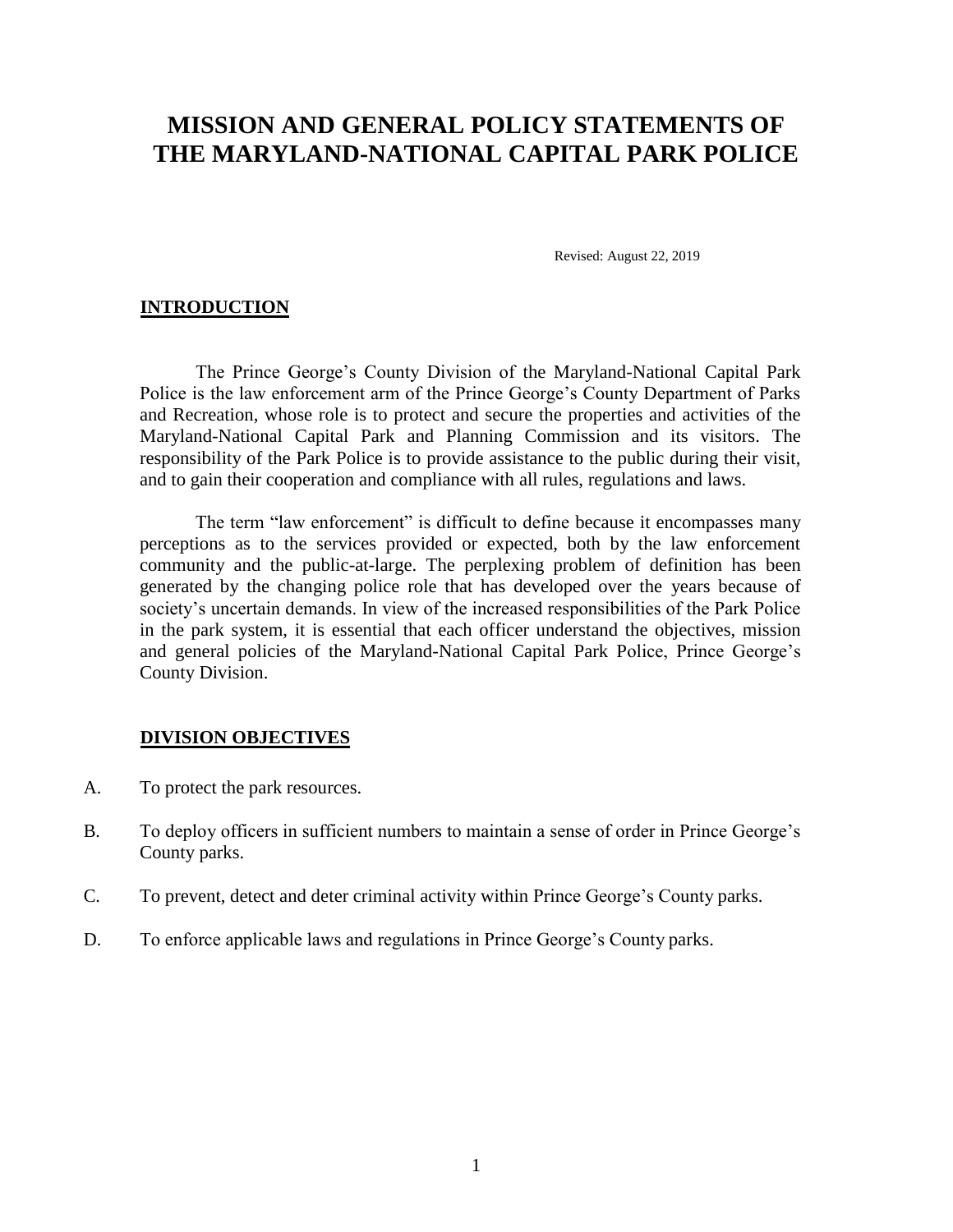# **MISSION AND GENERAL POLICY STATEMENTS OF THE MARYLAND-NATIONAL CAPITAL PARK POLICE**

Revised: August 22, 2019

## **INTRODUCTION**

The Prince George's County Division of the Maryland-National Capital Park Police is the law enforcement arm of the Prince George's County Department of Parks and Recreation, whose role is to protect and secure the properties and activities of the Maryland-National Capital Park and Planning Commission and its visitors. The responsibility of the Park Police is to provide assistance to the public during their visit, and to gain their cooperation and compliance with all rules, regulations and laws.

The term "law enforcement" is difficult to define because it encompasses many perceptions as to the services provided or expected, both by the law enforcement community and the public-at-large. The perplexing problem of definition has been generated by the changing police role that has developed over the years because of society's uncertain demands. In view of the increased responsibilities of the Park Police in the park system, it is essential that each officer understand the objectives, mission and general policies of the Maryland-National Capital Park Police, Prince George's County Division.

#### **DIVISION OBJECTIVES**

- A. To protect the park resources.
- B. To deploy officers in sufficient numbers to maintain a sense of order in Prince George's County parks.
- C. To prevent, detect and deter criminal activity within Prince George's County parks.
- D. To enforce applicable laws and regulations in Prince George's County parks.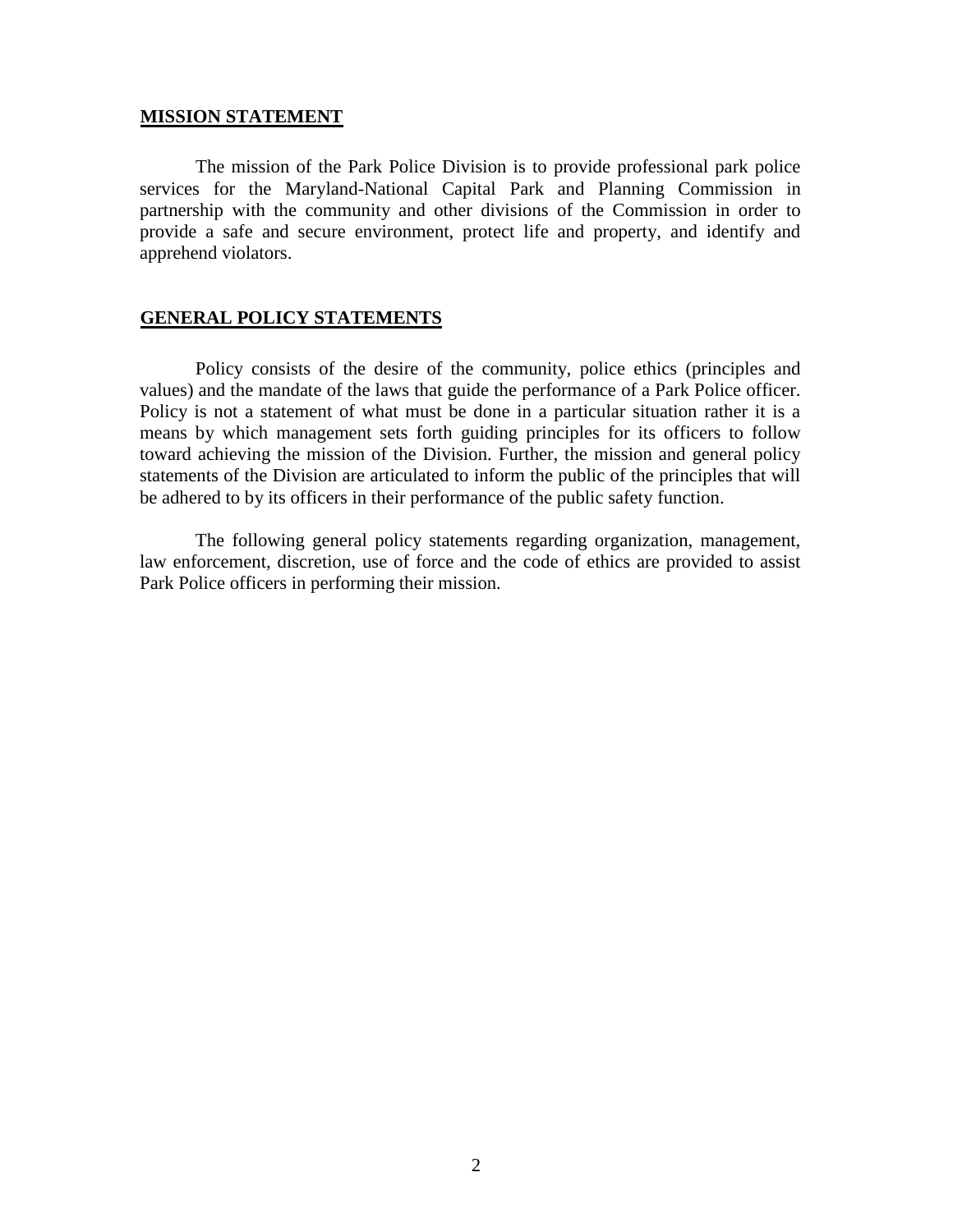## **MISSION STATEMENT**

The mission of the Park Police Division is to provide professional park police services for the Maryland-National Capital Park and Planning Commission in partnership with the community and other divisions of the Commission in order to provide a safe and secure environment, protect life and property, and identify and apprehend violators.

### **GENERAL POLICY STATEMENTS**

Policy consists of the desire of the community, police ethics (principles and values) and the mandate of the laws that guide the performance of a Park Police officer. Policy is not a statement of what must be done in a particular situation rather it is a means by which management sets forth guiding principles for its officers to follow toward achieving the mission of the Division. Further, the mission and general policy statements of the Division are articulated to inform the public of the principles that will be adhered to by its officers in their performance of the public safety function.

The following general policy statements regarding organization, management, law enforcement, discretion, use of force and the code of ethics are provided to assist Park Police officers in performing their mission.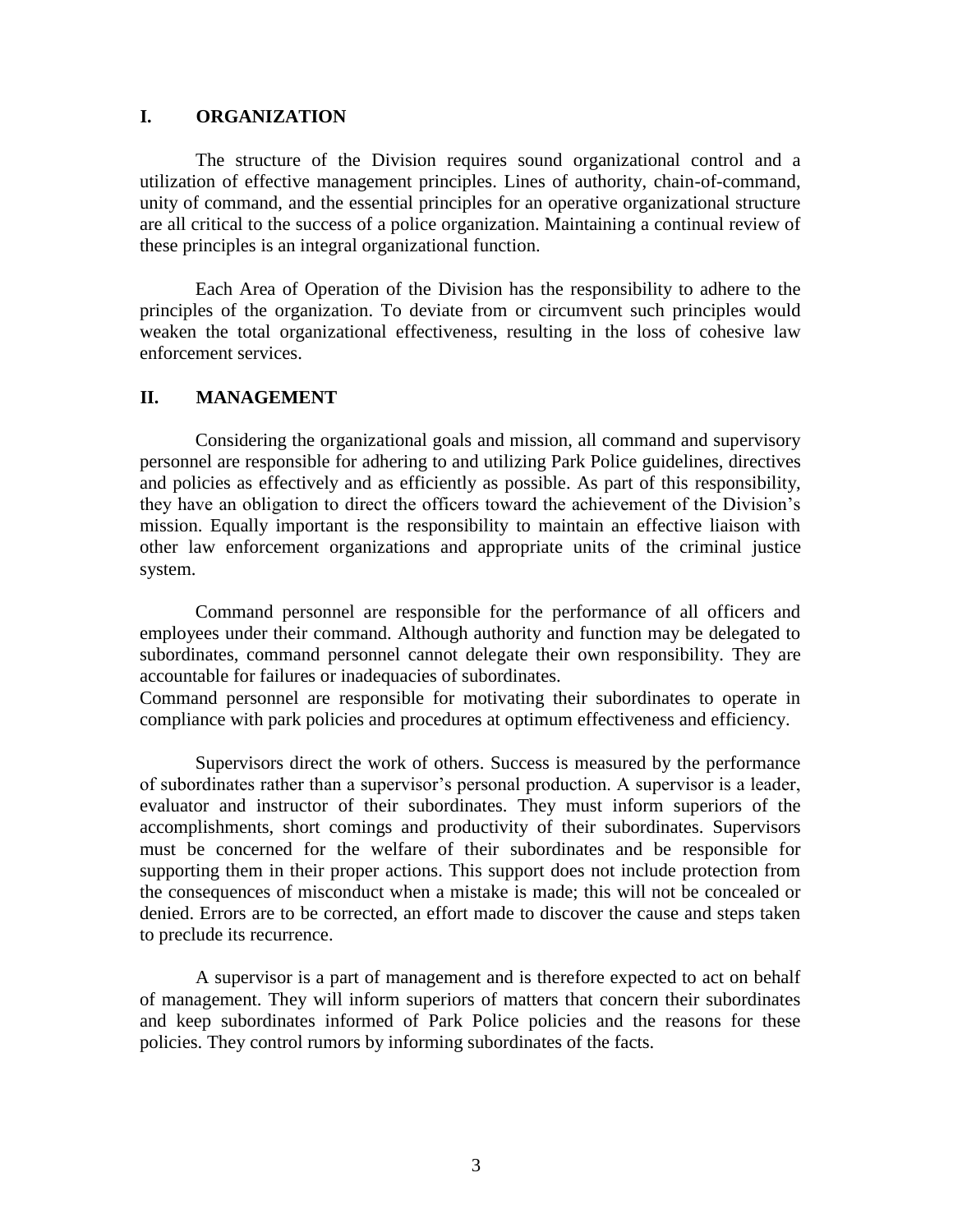## **I. ORGANIZATION**

The structure of the Division requires sound organizational control and a utilization of effective management principles. Lines of authority, chain-of-command, unity of command, and the essential principles for an operative organizational structure are all critical to the success of a police organization. Maintaining a continual review of these principles is an integral organizational function.

Each Area of Operation of the Division has the responsibility to adhere to the principles of the organization. To deviate from or circumvent such principles would weaken the total organizational effectiveness, resulting in the loss of cohesive law enforcement services.

# **II. MANAGEMENT**

Considering the organizational goals and mission, all command and supervisory personnel are responsible for adhering to and utilizing Park Police guidelines, directives and policies as effectively and as efficiently as possible. As part of this responsibility, they have an obligation to direct the officers toward the achievement of the Division's mission. Equally important is the responsibility to maintain an effective liaison with other law enforcement organizations and appropriate units of the criminal justice system.

Command personnel are responsible for the performance of all officers and employees under their command. Although authority and function may be delegated to subordinates, command personnel cannot delegate their own responsibility. They are accountable for failures or inadequacies of subordinates.

Command personnel are responsible for motivating their subordinates to operate in compliance with park policies and procedures at optimum effectiveness and efficiency.

Supervisors direct the work of others. Success is measured by the performance of subordinates rather than a supervisor's personal production. A supervisor is a leader, evaluator and instructor of their subordinates. They must inform superiors of the accomplishments, short comings and productivity of their subordinates. Supervisors must be concerned for the welfare of their subordinates and be responsible for supporting them in their proper actions. This support does not include protection from the consequences of misconduct when a mistake is made; this will not be concealed or denied. Errors are to be corrected, an effort made to discover the cause and steps taken to preclude its recurrence.

A supervisor is a part of management and is therefore expected to act on behalf of management. They will inform superiors of matters that concern their subordinates and keep subordinates informed of Park Police policies and the reasons for these policies. They control rumors by informing subordinates of the facts.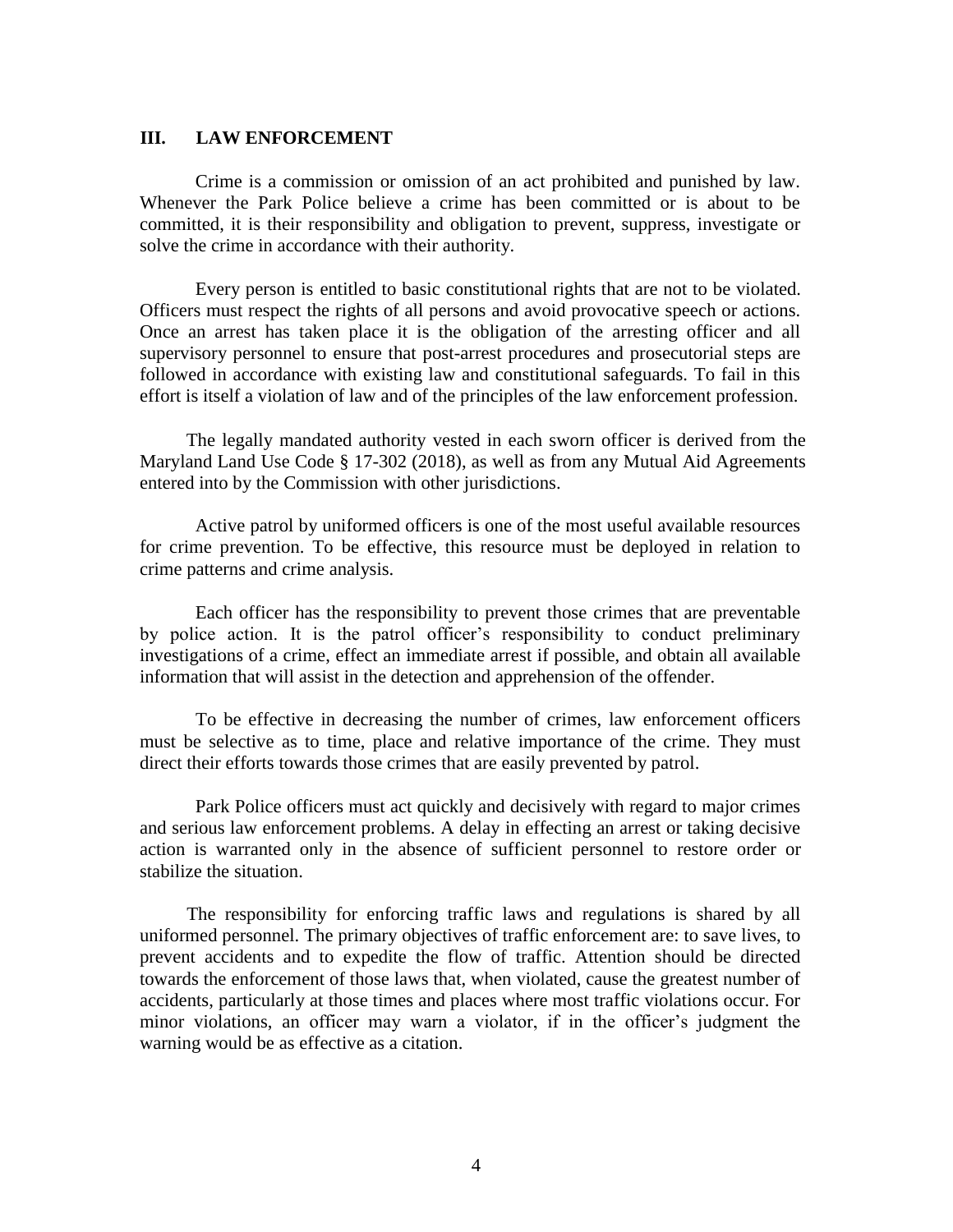# **III. LAW ENFORCEMENT**

Crime is a commission or omission of an act prohibited and punished by law. Whenever the Park Police believe a crime has been committed or is about to be committed, it is their responsibility and obligation to prevent, suppress, investigate or solve the crime in accordance with their authority.

Every person is entitled to basic constitutional rights that are not to be violated. Officers must respect the rights of all persons and avoid provocative speech or actions. Once an arrest has taken place it is the obligation of the arresting officer and all supervisory personnel to ensure that post-arrest procedures and prosecutorial steps are followed in accordance with existing law and constitutional safeguards. To fail in this effort is itself a violation of law and of the principles of the law enforcement profession.

The legally mandated authority vested in each sworn officer is derived from the Maryland Land Use Code § 17-302 (2018), as well as from any Mutual Aid Agreements entered into by the Commission with other jurisdictions.

Active patrol by uniformed officers is one of the most useful available resources for crime prevention. To be effective, this resource must be deployed in relation to crime patterns and crime analysis.

Each officer has the responsibility to prevent those crimes that are preventable by police action. It is the patrol officer's responsibility to conduct preliminary investigations of a crime, effect an immediate arrest if possible, and obtain all available information that will assist in the detection and apprehension of the offender.

To be effective in decreasing the number of crimes, law enforcement officers must be selective as to time, place and relative importance of the crime. They must direct their efforts towards those crimes that are easily prevented by patrol.

Park Police officers must act quickly and decisively with regard to major crimes and serious law enforcement problems. A delay in effecting an arrest or taking decisive action is warranted only in the absence of sufficient personnel to restore order or stabilize the situation.

The responsibility for enforcing traffic laws and regulations is shared by all uniformed personnel. The primary objectives of traffic enforcement are: to save lives, to prevent accidents and to expedite the flow of traffic. Attention should be directed towards the enforcement of those laws that, when violated, cause the greatest number of accidents, particularly at those times and places where most traffic violations occur. For minor violations, an officer may warn a violator, if in the officer's judgment the warning would be as effective as a citation.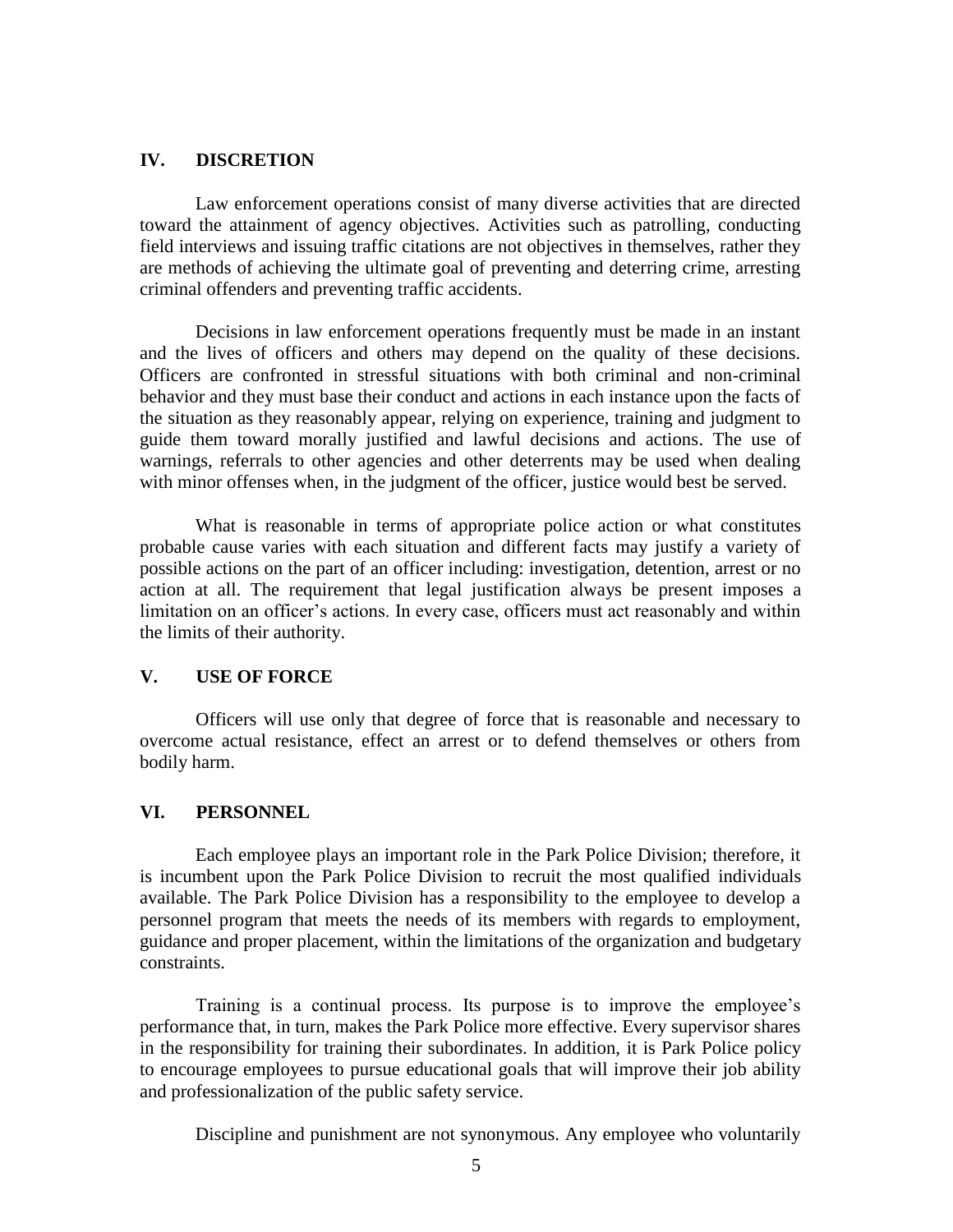#### **IV. DISCRETION**

Law enforcement operations consist of many diverse activities that are directed toward the attainment of agency objectives. Activities such as patrolling, conducting field interviews and issuing traffic citations are not objectives in themselves, rather they are methods of achieving the ultimate goal of preventing and deterring crime, arresting criminal offenders and preventing traffic accidents.

Decisions in law enforcement operations frequently must be made in an instant and the lives of officers and others may depend on the quality of these decisions. Officers are confronted in stressful situations with both criminal and non-criminal behavior and they must base their conduct and actions in each instance upon the facts of the situation as they reasonably appear, relying on experience, training and judgment to guide them toward morally justified and lawful decisions and actions. The use of warnings, referrals to other agencies and other deterrents may be used when dealing with minor offenses when, in the judgment of the officer, justice would best be served.

What is reasonable in terms of appropriate police action or what constitutes probable cause varies with each situation and different facts may justify a variety of possible actions on the part of an officer including: investigation, detention, arrest or no action at all. The requirement that legal justification always be present imposes a limitation on an officer's actions. In every case, officers must act reasonably and within the limits of their authority.

## **V. USE OF FORCE**

Officers will use only that degree of force that is reasonable and necessary to overcome actual resistance, effect an arrest or to defend themselves or others from bodily harm.

### **VI. PERSONNEL**

Each employee plays an important role in the Park Police Division; therefore, it is incumbent upon the Park Police Division to recruit the most qualified individuals available. The Park Police Division has a responsibility to the employee to develop a personnel program that meets the needs of its members with regards to employment, guidance and proper placement, within the limitations of the organization and budgetary constraints.

Training is a continual process. Its purpose is to improve the employee's performance that, in turn, makes the Park Police more effective. Every supervisor shares in the responsibility for training their subordinates. In addition, it is Park Police policy to encourage employees to pursue educational goals that will improve their job ability and professionalization of the public safety service.

Discipline and punishment are not synonymous. Any employee who voluntarily